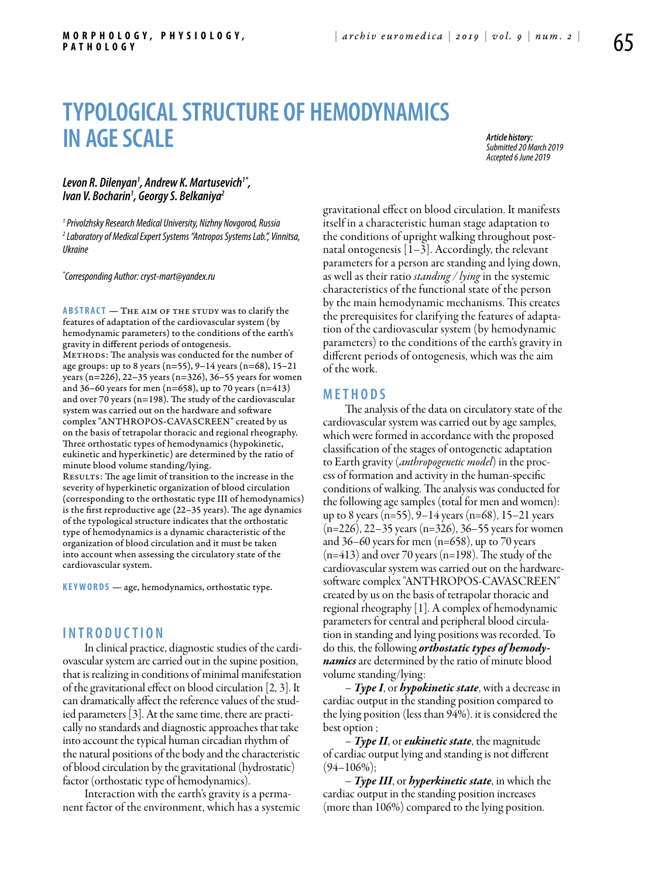# **TYPOLOGICAL STRUCTURE OF HEMODYNAMICS IN AGE SCALE**

*Article history: Submitted 20 March 2019 Accepted 6 June 2019*

## Levon R. Dilenyan<sup>1</sup>, Andrew K. Martusevich<sup>1\*</sup>,<br>Ivan V. Bocharin<sup>1</sup>, Georgy S. Belkaniya<sup>2</sup> *lvan V. Bocharin<sup>1</sup>, Georgy S. Belkaniya<sup>2</sup>*

*1 Privolzhsky Research Medical University, Nizhny Novgorod, Russia 2 Laboratory of Medical Expert Systems "Antropos Systems Lab.", Vinnitsa, Ukraine*

*\* Corresponding Author: cryst-mart@yandex.ru*

ABSTRACT — THE AIM OF THE STUDY was to clarify the features of adaptation of the cardiovascular system (by hemodynamic parameters) to the conditions of the earth's gravity in different periods of ontogenesis. METHODS: The analysis was conducted for the number of age groups: up to 8 years (n=55), 9–14 years (n=68), 15–21 years (n=226), 22–35 years (n=326), 36–55 years for women and 36–60 years for men (n=658), up to 70 years (n=413) and over 70 years (n=198). The study of the cardiovascular system was carried out on the hardware and software complex "ANTHROPOS-CAVASCREEN" created by us on the basis of tetrapolar thoracic and regional rheography. Three orthostatic types of hemodynamics (hypokinetic, eukinetic and hyperkinetic) are determined by the ratio of minute blood volume standing/lying. RESULTS: The age limit of transition to the increase in the severity of hyperkinetic organization of blood circulation

(corresponding to the orthostatic type III of hemodynamics) is the first reproductive age (22–35 years). The age dynamics of the typological structure indicates that the orthostatic type of hemodynamics is a dynamic characteristic of the organization of blood circulation and it must be taken into account when assessing the circulatory state of the cardiovascular system.

**KEYWORDS** — age, hemodynamics, orthostatic type.

### **I n t r o ducti o n**

In clinical practice, diagnostic studies of the cardiovascular system are carried out in the supine position, that is realizing in conditions of minimal manifestation of the gravitational effect on blood circulation [2, 3]. It can dramatically affect the reference values of the studied parameters [3]. At the same time, there are practically no standards and diagnostic approaches that take into account the typical human circadian rhythm of the natural positions of the body and the characteristic of blood circulation by the gravitational (hydrostatic) factor (orthostatic type of hemodynamics).

Interaction with the earth's gravity is a permanent factor of the environment, which has a systemic gravitational effect on blood circulation. It manifests itself in a characteristic human stage adaptation to the conditions of upright walking throughout postnatal ontogenesis  $[1-3]$ . Accordingly, the relevant parameters for a person are standing and lying down, as well as their ratio *standing / lying* in the systemic characteristics of the functional state of the person by the main hemodynamic mechanisms. This creates the prerequisites for clarifying the features of adaptation of the cardiovascular system (by hemodynamic parameters) to the conditions of the earth's gravity in different periods of ontogenesis, which was the aim of the work.

# **M e t h o d s**

The analysis of the data on circulatory state of the cardiovascular system was carried out by age samples, which were formed in accordance with the proposed classification of the stages of ontogenetic adaptation to Earth gravity (*anthropogenetic model*) in the process of formation and activity in the human-specific conditions of walking. The analysis was conducted for the following age samples (total for men and women): up to 8 years (n=55), 9–14 years (n=68), 15–21 years (n=226), 22–35 years (n=326), 36–55 years for women and  $36-60$  years for men (n=658), up to 70 years  $(n=413)$  and over 70 years  $(n=198)$ . The study of the cardiovascular system was carried out on the hardwaresoftware complex "ANTHROPOS-CAVASCREEN" created by us on the basis of tetrapolar thoracic and regional rheography [1]. A complex of hemodynamic parameters for central and peripheral blood circulation in standing and lying positions was recorded. To do this, the following *orthostatic types of hemodynamics* are determined by the ratio of minute blood volume standing/lying:

– *Type I*, or *hypokinetic state*, with a decrease in cardiac output in the standing position compared to the lying position (less than 94%). it is considered the best option ;

– *Type II*, or *eukinetic state*, the magnitude of cardiac output lying and standing is not different  $(94–106\%)$ ;

– *Type III*, or *hyperkinetic state*, in which the cardiac output in the standing position increases (more than 106%) compared to the lying position.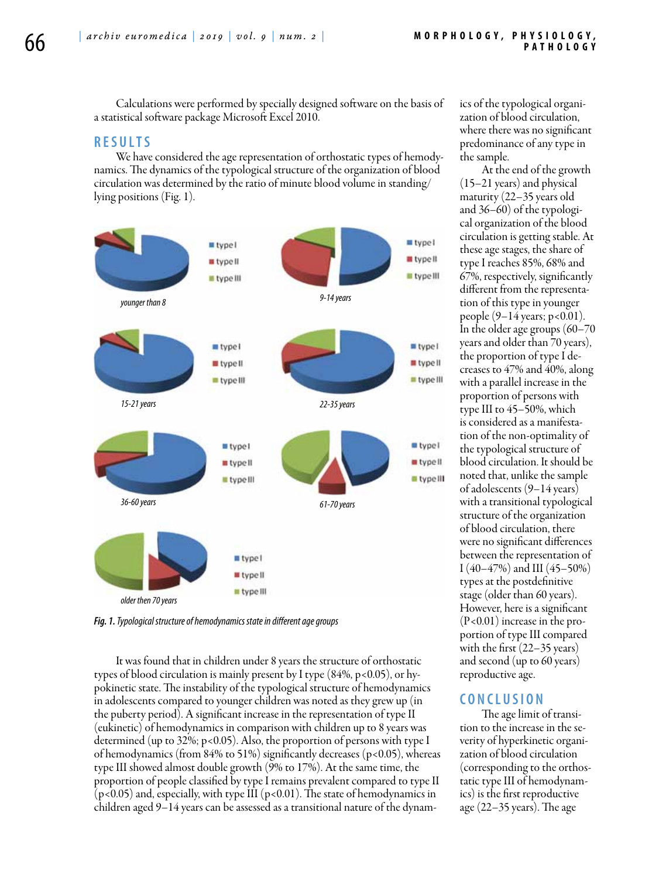Calculations were performed by specially designed software on the basis of a statistical software package Microsoft Excel 2010.

## **R e s ult s**

We have considered the age representation of orthostatic types of hemodynamics. The dynamics of the typological structure of the organization of blood circulation was determined by the ratio of minute blood volume in standing/ lying positions (Fig. 1).



*Fig. 1. Typological structure of hemodynamics state in different age groups*

It was found that in children under 8 years the structure of orthostatic types of blood circulation is mainly present by I type  $(84\%, p<0.05)$ , or hypokinetic state. The instability of the typological structure of hemodynamics in adolescents compared to younger children was noted as they grew up (in the puberty period). A significant increase in the representation of type II (eukinetic) of hemodynamics in comparison with children up to 8 years was determined (up to 32%; p<0.05). Also, the proportion of persons with type I of hemodynamics (from 84% to 51%) significantly decreases (p<0.05), whereas type III showed almost double growth (9% to 17%). At the same time, the proportion of people classified by type I remains prevalent compared to type II  $(p<0.05)$  and, especially, with type III  $(p<0.01)$ . The state of hemodynamics in children aged 9–14 years can be assessed as a transitional nature of the dynam-

ics of the typological organization of blood circulation, where there was no significant predominance of any type in the sample.

At the end of the growth (15–21 years) and physical maturity (22–35 years old and 36–60) of the typological organization of the blood circulation is getting stable. At these age stages, the share of type I reaches 85%, 68% and 67%, respectively, significantly different from the representation of this type in younger people (9–14 years; p<0.01). In the older age groups (60–70 years and older than 70 years), the proportion of type I decreases to 47% and 40%, along with a parallel increase in the proportion of persons with type III to 45–50%, which is considered as a manifestation of the non-optimality of the typological structure of blood circulation. It should be noted that, unlike the sample of adolescents (9–14 years) with a transitional typological structure of the organization of blood circulation, there were no significant differences between the representation of I  $(40-47%)$  and III  $(45-50%)$ types at the postdefinitive stage (older than 60 years). However, here is a significant (P<0.01) increase in the proportion of type III compared with the first (22–35 years) and second (up to 60 years) reproductive age.

## **C o n clu si o n**

The age limit of transition to the increase in the severity of hyperkinetic organization of blood circulation (corresponding to the orthostatic type III of hemodynamics) is the first reproductive age (22–35 years). The age